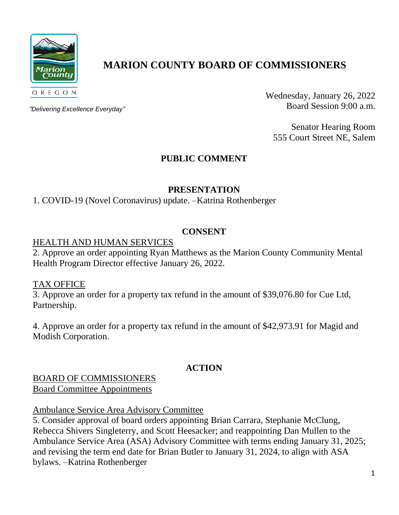

# **MARION COUNTY BOARD OF COMMISSIONERS**

*"Delivering Excellence Everyday"*

Wednesday, January 26, 2022 Board Session 9:00 a.m.

Senator Hearing Room 555 Court Street NE, Salem

# **PUBLIC COMMENT**

## **PRESENTATION**

1. COVID-19 (Novel Coronavirus) update. –Katrina Rothenberger

## **CONSENT**

### HEALTH AND HUMAN SERVICES

2. Approve an order appointing Ryan Matthews as the Marion County Community Mental Health Program Director effective January 26, 2022.

TAX OFFICE

3. Approve an order for a property tax refund in the amount of \$39,076.80 for Cue Ltd, Partnership.

4. Approve an order for a property tax refund in the amount of \$42,973.91 for Magid and Modish Corporation.

# **ACTION**

### BOARD OF COMMISSIONERS Board Committee Appointments

Ambulance Service Area Advisory Committee

5. Consider approval of board orders appointing Brian Carrara, Stephanie McClung, Rebecca Shivers Singleterry, and Scott Heesacker; and reappointing Dan Mullen to the Ambulance Service Area (ASA) Advisory Committee with terms ending January 31, 2025; and revising the term end date for Brian Butler to January 31, 2024, to align with ASA bylaws. –Katrina Rothenberger